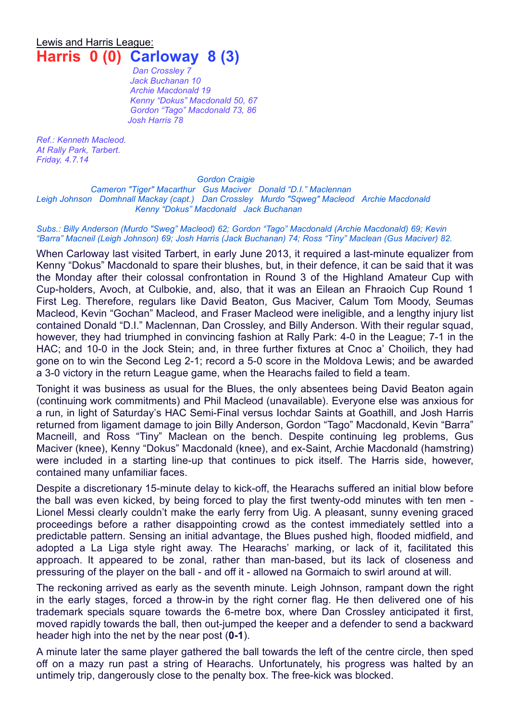## Lewis and Harris League: **Harris 0 (0) Carloway 8 (3)**

*Dan Crossley 7 Jack Buchanan 10 Archie Macdonald 19 Kenny "Dokus" Macdonald 50, 67 Gordon "Tago" Macdonald 73, 86 Josh Harris 78*

*Ref.: Kenneth Macleod. At Rally Park, Tarbert. Friday, 4.7.14*

*Gordon Craigie*

*Cameron "Tiger" Macarthur Gus Maciver Donald "D.I." Maclennan Leigh Johnson Domhnall Mackay (capt.) Dan Crossley Murdo "Sqweg" Macleod Archie Macdonald Kenny "Dokus" Macdonald Jack Buchanan*

*Subs.: Billy Anderson (Murdo "Sweg" Macleod) 62; Gordon "Tago" Macdonald (Archie Macdonald) 69; Kevin "Barra" Macneil (Leigh Johnson) 69; Josh Harris (Jack Buchanan) 74; Ross "Tiny" Maclean (Gus Maciver) 82.*

When Carloway last visited Tarbert, in early June 2013, it required a last-minute equalizer from Kenny "Dokus" Macdonald to spare their blushes, but, in their defence, it can be said that it was the Monday after their colossal confrontation in Round 3 of the Highland Amateur Cup with Cup-holders, Avoch, at Culbokie, and, also, that it was an Eilean an Fhraoich Cup Round 1 First Leg. Therefore, regulars like David Beaton, Gus Maciver, Calum Tom Moody, Seumas Macleod, Kevin "Gochan" Macleod, and Fraser Macleod were ineligible, and a lengthy injury list contained Donald "D.I." Maclennan, Dan Crossley, and Billy Anderson. With their regular squad, however, they had triumphed in convincing fashion at Rally Park: 4-0 in the League; 7-1 in the HAC; and 10-0 in the Jock Stein; and, in three further fixtures at Cnoc a' Choilich, they had gone on to win the Second Leg 2-1; record a 5-0 score in the Moldova Lewis; and be awarded a 3-0 victory in the return League game, when the Hearachs failed to field a team.

Tonight it was business as usual for the Blues, the only absentees being David Beaton again (continuing work commitments) and Phil Macleod (unavailable). Everyone else was anxious for a run, in light of Saturday's HAC Semi-Final versus Iochdar Saints at Goathill, and Josh Harris returned from ligament damage to join Billy Anderson, Gordon "Tago" Macdonald, Kevin "Barra" Macneill, and Ross "Tiny" Maclean on the bench. Despite continuing leg problems, Gus Maciver (knee), Kenny "Dokus" Macdonald (knee), and ex-Saint, Archie Macdonald (hamstring) were included in a starting line-up that continues to pick itself. The Harris side, however, contained many unfamiliar faces.

Despite a discretionary 15-minute delay to kick-off, the Hearachs suffered an initial blow before the ball was even kicked, by being forced to play the first twenty-odd minutes with ten men - Lionel Messi clearly couldn't make the early ferry from Uig. A pleasant, sunny evening graced proceedings before a rather disappointing crowd as the contest immediately settled into a predictable pattern. Sensing an initial advantage, the Blues pushed high, flooded midfield, and adopted a La Liga style right away. The Hearachs' marking, or lack of it, facilitated this approach. It appeared to be zonal, rather than man-based, but its lack of closeness and pressuring of the player on the ball - and off it - allowed na Gormaich to swirl around at will.

The reckoning arrived as early as the seventh minute. Leigh Johnson, rampant down the right in the early stages, forced a throw-in by the right corner flag. He then delivered one of his trademark specials square towards the 6-metre box, where Dan Crossley anticipated it first, moved rapidly towards the ball, then out-jumped the keeper and a defender to send a backward header high into the net by the near post (**0-1**).

A minute later the same player gathered the ball towards the left of the centre circle, then sped off on a mazy run past a string of Hearachs. Unfortunately, his progress was halted by an untimely trip, dangerously close to the penalty box. The free-kick was blocked.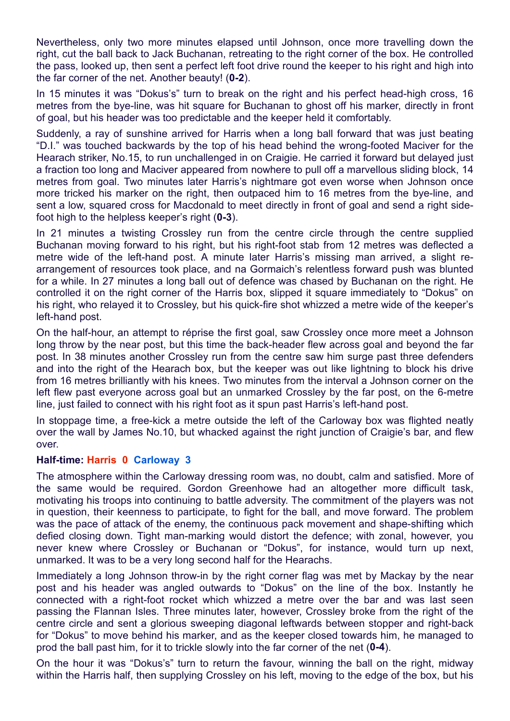Nevertheless, only two more minutes elapsed until Johnson, once more travelling down the right, cut the ball back to Jack Buchanan, retreating to the right corner of the box. He controlled the pass, looked up, then sent a perfect left foot drive round the keeper to his right and high into the far corner of the net. Another beauty! (**0-2**).

In 15 minutes it was "Dokus's" turn to break on the right and his perfect head-high cross, 16 metres from the bye-line, was hit square for Buchanan to ghost off his marker, directly in front of goal, but his header was too predictable and the keeper held it comfortably.

Suddenly, a ray of sunshine arrived for Harris when a long ball forward that was just beating "D.I." was touched backwards by the top of his head behind the wrong-footed Maciver for the Hearach striker, No.15, to run unchallenged in on Craigie. He carried it forward but delayed just a fraction too long and Maciver appeared from nowhere to pull off a marvellous sliding block, 14 metres from goal. Two minutes later Harris's nightmare got even worse when Johnson once more tricked his marker on the right, then outpaced him to 16 metres from the bye-line, and sent a low, squared cross for Macdonald to meet directly in front of goal and send a right sidefoot high to the helpless keeper's right (**0-3**).

In 21 minutes a twisting Crossley run from the centre circle through the centre supplied Buchanan moving forward to his right, but his right-foot stab from 12 metres was deflected a metre wide of the left-hand post. A minute later Harris's missing man arrived, a slight rearrangement of resources took place, and na Gormaich's relentless forward push was blunted for a while. In 27 minutes a long ball out of defence was chased by Buchanan on the right. He controlled it on the right corner of the Harris box, slipped it square immediately to "Dokus" on his right, who relayed it to Crossley, but his quick-fire shot whizzed a metre wide of the keeper's left-hand post.

On the half-hour, an attempt to réprise the first goal, saw Crossley once more meet a Johnson long throw by the near post, but this time the back-header flew across goal and beyond the far post. In 38 minutes another Crossley run from the centre saw him surge past three defenders and into the right of the Hearach box, but the keeper was out like lightning to block his drive from 16 metres brilliantly with his knees. Two minutes from the interval a Johnson corner on the left flew past everyone across goal but an unmarked Crossley by the far post, on the 6-metre line, just failed to connect with his right foot as it spun past Harris's left-hand post.

In stoppage time, a free-kick a metre outside the left of the Carloway box was flighted neatly over the wall by James No.10, but whacked against the right junction of Craigie's bar, and flew over.

## **Half-time: Harris 0 Carloway 3**

The atmosphere within the Carloway dressing room was, no doubt, calm and satisfied. More of the same would be required. Gordon Greenhowe had an altogether more difficult task, motivating his troops into continuing to battle adversity. The commitment of the players was not in question, their keenness to participate, to fight for the ball, and move forward. The problem was the pace of attack of the enemy, the continuous pack movement and shape-shifting which defied closing down. Tight man-marking would distort the defence; with zonal, however, you never knew where Crossley or Buchanan or "Dokus", for instance, would turn up next, unmarked. It was to be a very long second half for the Hearachs.

Immediately a long Johnson throw-in by the right corner flag was met by Mackay by the near post and his header was angled outwards to "Dokus" on the line of the box. Instantly he connected with a right-foot rocket which whizzed a metre over the bar and was last seen passing the Flannan Isles. Three minutes later, however, Crossley broke from the right of the centre circle and sent a glorious sweeping diagonal leftwards between stopper and right-back for "Dokus" to move behind his marker, and as the keeper closed towards him, he managed to prod the ball past him, for it to trickle slowly into the far corner of the net (**0-4**).

On the hour it was "Dokus's" turn to return the favour, winning the ball on the right, midway within the Harris half, then supplying Crossley on his left, moving to the edge of the box, but his